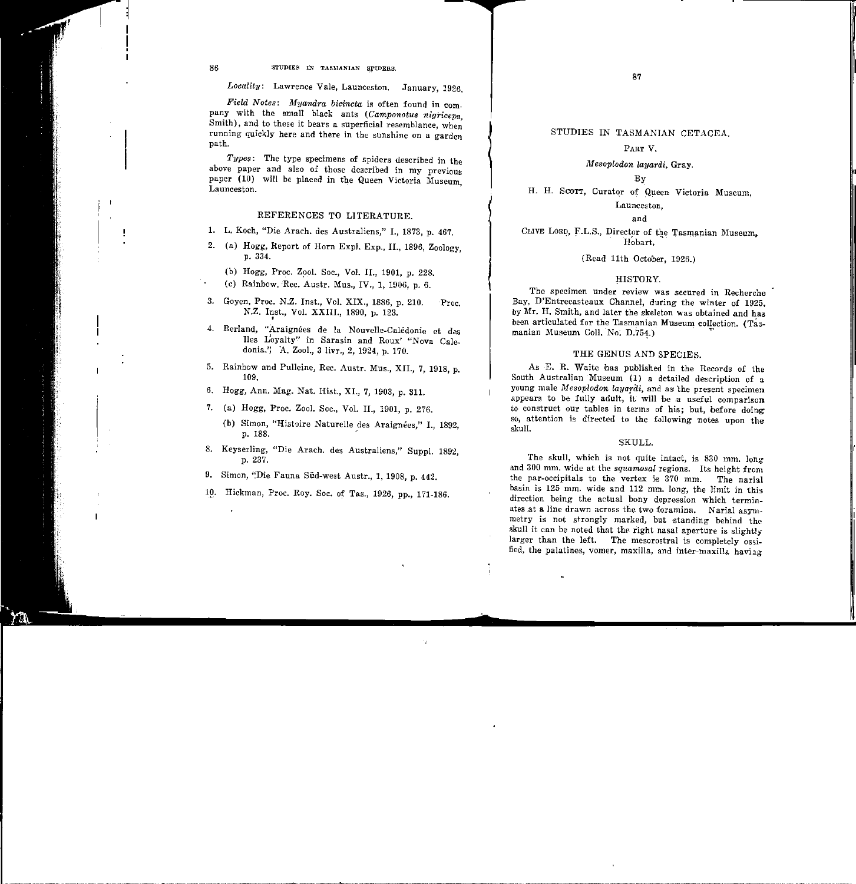## PART V.

*A-lesoplodon layardi,* Gray.

By

H. H. SCOTT, Curator of Queen Victoria Museum,

## Launceston,

and

CLIVE LORD, F.L.S., Director of the Tasmanian Museum, Hobart.

(Read 11th October, 1926.)

#### HISTORY.

The specimen under review was secured in Recherche Bay, D'Entrecasteaux Channel, during the winter of 1925, by Mr. H. Smith, and later the skeleton was obtained and has been articulated for the Tasmanian Museum collection. (Tasmanian Museum Coll. No. D.754.)

#### THE GENUS AND SPECIES.

As E. R. Waite has published in the Records of the South Australian Museum (1) a detailed description of a young male *Mesoplodon layardi*, and as the present specimen appears to be fully adult, it will be a useful comparison to construct our tables in terms of his; but, before doing: so, attention is directed to the following notes upon the skull.

#### SKULL.

The skull, which is not quite intact, is 830 mm. long and 300 mm. wide at the *sq'uamosal* regions. Its height from the par-occipitals to the vertex is 370 mm. The narial basin is 125 mm. wide and 112 mm. long, the limit in this direction being the actual bony depression which terminates at a line drawn across the two foramina. Narial asymmetry is not strongly marked, but standing behind the skull it can be noted that the right nasal aperture is slightly larger than the left. The mesorostral is completely ossified, the palatines, vomer, maxilla, and inter-maxilla having

ă.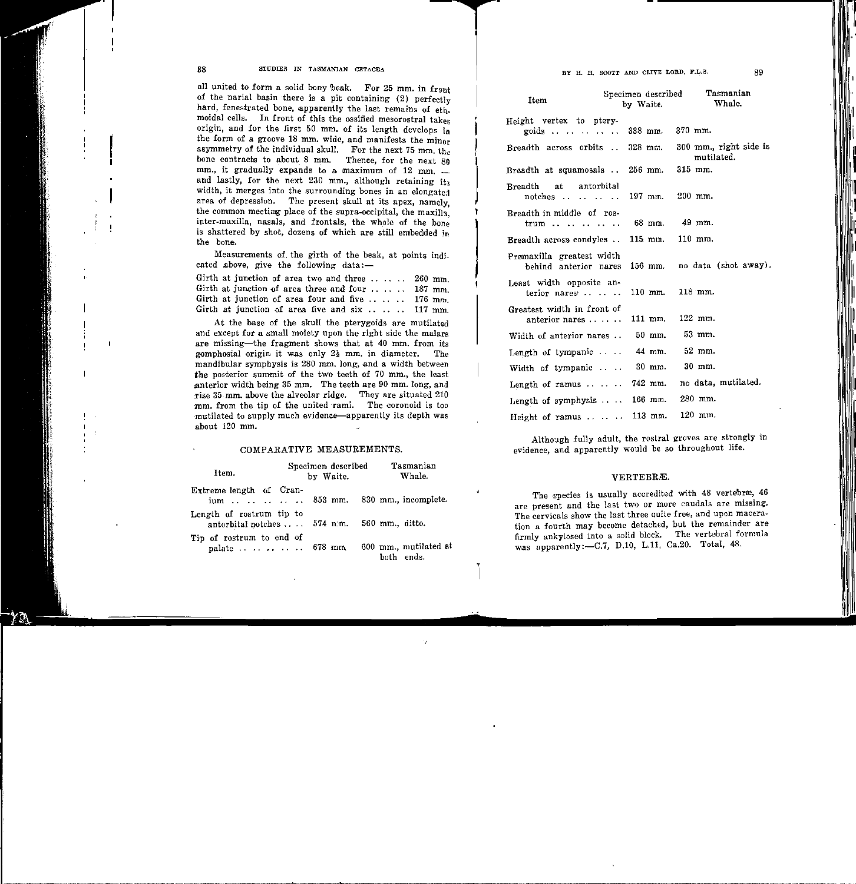88 STUDIES IN TASMANIAN CETACEA

all united to form a solid bony beak. For 25 mm. in  $f_{\text{T0th}}$ of the narial basin there is a pit containing (2) perfectly hard, fenestrated bone, apparently the last remains of ethmoidal cells. In front of this the ossified mesorostral takes origin, and for the first 50 mm. of its length develops in the form of a groove 18 mm. wide, and manifests the minor asymmetry of the individual skull. For the next 75 mm, the bone contracts to about 8 mm. Thence, for the next 80 mm., it gradually expands to a maximum of  $12 \, \text{mm}$ . and lastly, for the next 230 mm., although retaining it; width, it merges into the surrounding bones in an elongated area of depression. The present skull at its apex, namely, the common meeting place of the supra-occipital, the maxilla inter-maxilla, nasals, and frontals, the whole of the bone is shattered by shot, dozens of which are still embedded in the bone.

Measurements of the girth of the beak, at points indicated above, give the following data:-

| Girth at junction of area two and three $\ldots$ 260 mm. |  |
|----------------------------------------------------------|--|
| Girth at junction of area three and four  187 mm.        |  |
| Girth at junction of area four and five $\ldots$ 176 mm. |  |
| Girth at junction of area five and six  117 mm.          |  |

At the base of the skull the pterygoids are mutilated and except for a small moiety upon the right side the malars are missing-the fragment shows that at 40 mm. from its gomphosial origin it was only  $2\frac{1}{2}$  mm. in diameter. The mandibular symphysis is 280 mm. long, and a width the posterior summit of the two teeth of 70 mm., the least anterior width being 35 mm. The teeth are 90 mm. long, and rise 35 mm. above the alveolar ridge. They are situated 210 mm. from the tip of the united rami. The coronoid is too mutilated to supply much evidence-apparently its depth was about 120 mm.

#### COMPARATIVE MEASUREMENTS.

| Item.                                                                       | Specimen described<br>by Waite. | Tasmanian<br>Whale. |
|-----------------------------------------------------------------------------|---------------------------------|---------------------|
| Extreme length of Cran-<br>ium     853 mm. 830 mm., incomplete.             |                                 |                     |
| Length of rostrum tip to<br>antorbital notches $574$ n.m. $560$ mm., ditto. |                                 |                     |
| Tip of rostrum to end of<br>palate   678 mm 600 mm., mutilated at           |                                 | both ends.          |

,

# BY H. H. SCOTT AND CLIVE LORD. F.L.S.

| Item                                                          | Specimen described<br>by Waite. | Tasmanian<br>Whale.                  |
|---------------------------------------------------------------|---------------------------------|--------------------------------------|
| Height vertex to ptery-<br>goids    338 mm. 370 mm.           |                                 |                                      |
| Breadth across orbits  328 mm.                                |                                 | 300 mm., right side is<br>mutilated. |
| Breadth at squamosals  256 mm.                                |                                 | 315 mm.                              |
| at antorbital<br><b>Breadth</b><br>notches    197 mm. 200 mm. |                                 |                                      |
| Breadth in middle of ros-<br>trum                             | 68 mm. 49 mm.                   |                                      |
| Breadth across condyles  115 mm.                              |                                 | $110$ mm.                            |
| Premaxilla greatest width<br>hehind anterior nares            | $156$ mm.                       | no data (shot away).                 |
| Least width opposite an-<br>terior nares                      | $110$ mm.                       | $118$ mm.                            |
| Greatest width in front of<br>anterior nares                  | 111 mm. 122 mm.                 |                                      |
| Width of anterior nares                                       | 50 mm.                          | 53 mm.                               |
| Length of tympanic                                            | 44 mm.                          | $52$ mm.                             |
| Width of tympanic                                             | 30 mm.                          | 30 mm.                               |
| Length of ramus $\ldots$ $\ldots$ 742 mm.                     |                                 | no data, mutilated.                  |
| Length of symphysis $\cdots$                                  | 166 mm.                         | 280 mm.                              |
| Height of ramus $\cdots$                                      | $113$ mm.                       | 120 mm.                              |

Although fully adult, the rostral groves are strongly in evidence, and apparently would be so throughout life.

### VERTEBRÆ.

The species is usually accredited with 48 vertebræ, 46 are present and the last two or more caudals are missing. The cervicals show the last three auite free, and upon maceration a fourth may become detached, but the remainder are firmly ankylosed into a solid blcck. The vertebral formula was apparently:-C.7, D.10, L.11, Ca.20. Total, 48.